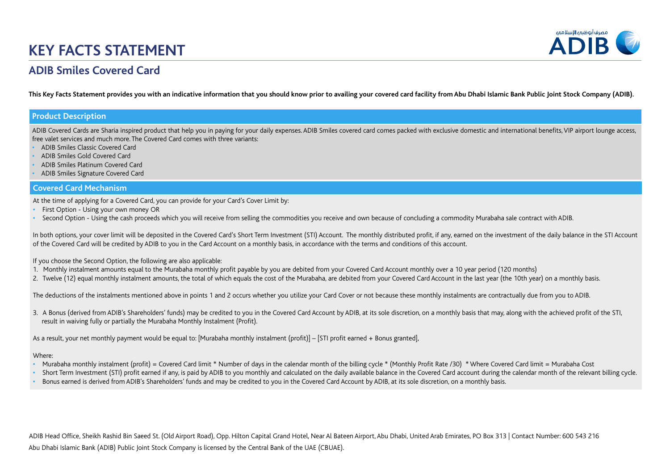

### **ADIB Smiles Covered Card**

**This Key Facts Statement provides you with an indicative information that you should know prior to availing your covered card facility from Abu Dhabi Islamic Bank Public Joint Stock Company (ADIB).**

### **Product Description**

ADIB Covered Cards are Sharia inspired product that help you in paying for your daily expenses. ADIB Smiles covered card comes packed with exclusive domestic and international benefits, VIP airport lounge access, free valet services and much more. The Covered Card comes with three variants:

- **•** ADIB Smiles Classic Covered Card
- **•** ADIB Smiles Gold Covered Card
- **•** ADIB Smiles Platinum Covered Card
- **•** ADIB Smiles Signature Covered Card

### **Covered Card Mechanism**

At the time of applying for a Covered Card, you can provide for your Card's Cover Limit by:

- **•** First Option Using your own money OR
- **•** Second Option Using the cash proceeds which you will receive from selling the commodities you receive and own because of concluding a commodity Murabaha sale contract with ADIB.

In both options, your cover limit will be deposited in the Covered Card's Short Term Investment (STI) Account. The monthly distributed profit, if any, earned on the investment of the daily balance in the STI Account of the Covered Card will be credited by ADIB to you in the Card Account on a monthly basis, in accordance with the terms and conditions of this account.

If you choose the Second Option, the following are also applicable:

- 1. Monthly instalment amounts equal to the Murabaha monthly profit payable by you are debited from your Covered Card Account monthly over a 10 year period (120 months)
- 2. Twelve (12) equal monthly instalment amounts, the total of which equals the cost of the Murabaha, are debited from your Covered Card Account in the last year (the 10th year) on a monthly basis.

The deductions of the instalments mentioned above in points 1 and 2 occurs whether you utilize your Card Cover or not because these monthly instalments are contractually due from you to ADIB.

3. A Bonus (derived from ADIB's Shareholders' funds) may be credited to you in the Covered Card Account by ADIB, at its sole discretion, on a monthly basis that may, along with the achieved profit of the STI, result in waiving fully or partially the Murabaha Monthly Instalment (Profit).

As a result, your net monthly payment would be equal to: [Murabaha monthly instalment (profit)] – [STI profit earned + Bonus granted],

#### Where:

- Murabaha monthly instalment (profit) = Covered Card limit \* Number of days in the calendar month of the billing cycle \* (Monthly Profit Rate /30) \* Where Covered Card limit = Murabaha Cost
- Short Term Investment (STI) profit earned if any, is paid by ADIB to you monthly and calculated on the daily available balance in the Covered Card account during the calendar month of the relevant billing cycle.
- **•** Bonus earned is derived from ADIB's Shareholders' funds and may be credited to you in the Covered Card Account by ADIB, at its sole discretion, on a monthly basis.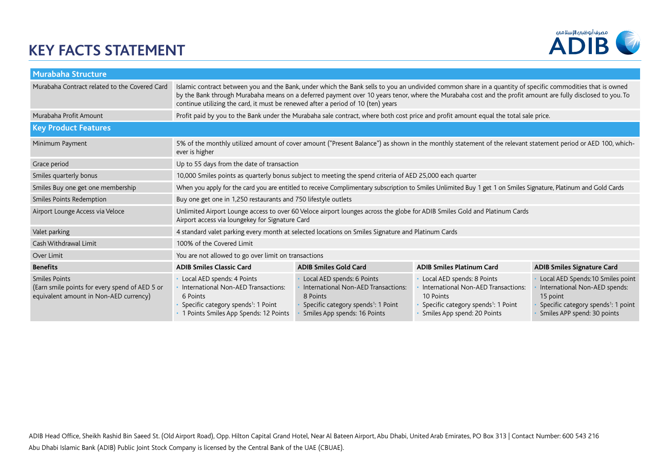

| Murabaha Structure                                                                                        |                                                                                                                                                                                                                                                                                                                                                                                                              |                                                                                                                                                                  |                                                                                                                                                                  |                                                                                                                                                                  |
|-----------------------------------------------------------------------------------------------------------|--------------------------------------------------------------------------------------------------------------------------------------------------------------------------------------------------------------------------------------------------------------------------------------------------------------------------------------------------------------------------------------------------------------|------------------------------------------------------------------------------------------------------------------------------------------------------------------|------------------------------------------------------------------------------------------------------------------------------------------------------------------|------------------------------------------------------------------------------------------------------------------------------------------------------------------|
| Murabaha Contract related to the Covered Card                                                             | Islamic contract between you and the Bank, under which the Bank sells to you an undivided common share in a quantity of specific commodities that is owned<br>by the Bank through Murabaha means on a deferred payment over 10 years tenor, where the Murabaha cost and the profit amount are fully disclosed to you. To<br>continue utilizing the card, it must be renewed after a period of 10 (ten) years |                                                                                                                                                                  |                                                                                                                                                                  |                                                                                                                                                                  |
| Murabaha Profit Amount                                                                                    | Profit paid by you to the Bank under the Murabaha sale contract, where both cost price and profit amount equal the total sale price.                                                                                                                                                                                                                                                                         |                                                                                                                                                                  |                                                                                                                                                                  |                                                                                                                                                                  |
| <b>Key Product Features</b>                                                                               |                                                                                                                                                                                                                                                                                                                                                                                                              |                                                                                                                                                                  |                                                                                                                                                                  |                                                                                                                                                                  |
| Minimum Payment                                                                                           | 5% of the monthly utilized amount of cover amount ("Present Balance") as shown in the monthly statement of the relevant statement period or AED 100, which-<br>ever is higher                                                                                                                                                                                                                                |                                                                                                                                                                  |                                                                                                                                                                  |                                                                                                                                                                  |
| Grace period                                                                                              | Up to 55 days from the date of transaction                                                                                                                                                                                                                                                                                                                                                                   |                                                                                                                                                                  |                                                                                                                                                                  |                                                                                                                                                                  |
| Smiles quarterly bonus                                                                                    | 10,000 Smiles points as quarterly bonus subject to meeting the spend criteria of AED 25,000 each quarter                                                                                                                                                                                                                                                                                                     |                                                                                                                                                                  |                                                                                                                                                                  |                                                                                                                                                                  |
| Smiles Buy one get one membership                                                                         | When you apply for the card you are entitled to receive Complimentary subscription to Smiles Unlimited Buy 1 get 1 on Smiles Signature, Platinum and Gold Cards                                                                                                                                                                                                                                              |                                                                                                                                                                  |                                                                                                                                                                  |                                                                                                                                                                  |
| Smiles Points Redemption                                                                                  | Buy one get one in 1,250 restaurants and 750 lifestyle outlets                                                                                                                                                                                                                                                                                                                                               |                                                                                                                                                                  |                                                                                                                                                                  |                                                                                                                                                                  |
| Airport Lounge Access via Veloce                                                                          | Unlimited Airport Lounge access to over 60 Veloce airport lounges across the globe for ADIB Smiles Gold and Platinum Cards<br>Airport access via loungekey for Signature Card                                                                                                                                                                                                                                |                                                                                                                                                                  |                                                                                                                                                                  |                                                                                                                                                                  |
| Valet parking                                                                                             | 4 standard valet parking every month at selected locations on Smiles Signature and Platinum Cards                                                                                                                                                                                                                                                                                                            |                                                                                                                                                                  |                                                                                                                                                                  |                                                                                                                                                                  |
| Cash Withdrawal Limit                                                                                     | 100% of the Covered Limit                                                                                                                                                                                                                                                                                                                                                                                    |                                                                                                                                                                  |                                                                                                                                                                  |                                                                                                                                                                  |
| Over Limit                                                                                                | You are not allowed to go over limit on transactions                                                                                                                                                                                                                                                                                                                                                         |                                                                                                                                                                  |                                                                                                                                                                  |                                                                                                                                                                  |
| <b>Benefits</b>                                                                                           | <b>ADIB Smiles Classic Card</b>                                                                                                                                                                                                                                                                                                                                                                              | <b>ADIB Smiles Gold Card</b>                                                                                                                                     | <b>ADIB Smiles Platinum Card</b>                                                                                                                                 | <b>ADIB Smiles Signature Card</b>                                                                                                                                |
| Smiles Points<br>(Earn smile points for every spend of AED 5 or<br>equivalent amount in Non-AED currency) | Local AED spends: 4 Points<br>International Non-AED Transactions:<br>6 Points<br>Specific category spends <sup>1</sup> : 1 Point<br>1 Points Smiles App Spends: 12 Points                                                                                                                                                                                                                                    | Local AED spends: 6 Points<br>International Non-AED Transactions:<br>8 Points<br>Specific category spends <sup>1</sup> : 1 Point<br>Smiles App spends: 16 Points | Local AED spends: 8 Points<br>International Non-AED Transactions:<br>10 Points<br>Specific category spends <sup>1</sup> : 1 Point<br>Smiles App spend: 20 Points | Local AED Spends: 10 Smiles point<br>International Non-AED spends:<br>15 point<br>Specific category spends <sup>1</sup> : 1 point<br>Smiles APP spend: 30 points |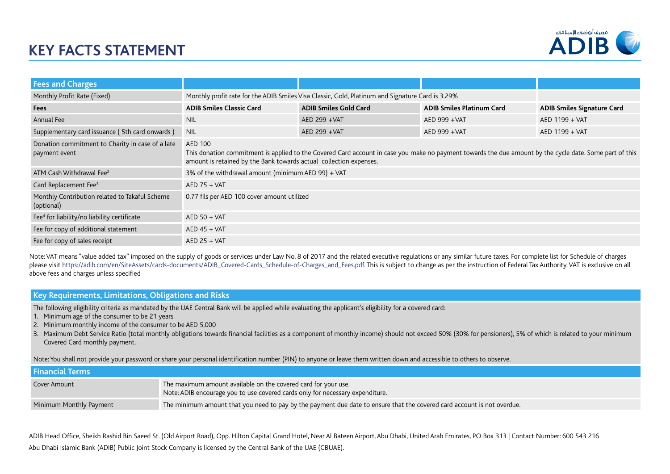

| <b>Fees and Charges</b>                                           |                                                                                                                                                                                                                                          |                              |                                  |                                   |
|-------------------------------------------------------------------|------------------------------------------------------------------------------------------------------------------------------------------------------------------------------------------------------------------------------------------|------------------------------|----------------------------------|-----------------------------------|
| Monthly Profit Rate (Fixed)                                       | Monthly profit rate for the ADIB Smiles Visa Classic, Gold, Platinum and Signature Card is 3.29%                                                                                                                                         |                              |                                  |                                   |
| Fees                                                              | <b>ADIB Smiles Classic Card</b>                                                                                                                                                                                                          | <b>ADIB Smiles Gold Card</b> | <b>ADIB Smiles Platinum Card</b> | <b>ADIB Smiles Signature Card</b> |
| Annual Fee                                                        | <b>NIL</b>                                                                                                                                                                                                                               | AED 299 + VAT                | AED 999 + VAT                    | AED 1199 + VAT                    |
| Supplementary card issuance (5th card onwards)                    | <b>NIL</b>                                                                                                                                                                                                                               | AED 299 + VAT                | AED 999 + VAT                    | AED 1199 + VAT                    |
| Donation commitment to Charity in case of a late<br>payment event | AED 100<br>This donation commitment is applied to the Covered Card account in case you make no payment towards the due amount by the cycle date. Some part of this<br>amount is retained by the Bank towards actual collection expenses. |                              |                                  |                                   |
| ATM Cash Withdrawal Fee <sup>2</sup>                              | 3% of the withdrawal amount (minimum AED 99) + VAT                                                                                                                                                                                       |                              |                                  |                                   |
| Card Replacement Fee <sup>3</sup>                                 | $AED$ 75 + VAT                                                                                                                                                                                                                           |                              |                                  |                                   |
| Monthly Contribution related to Takaful Scheme<br>(optional)      | 0.77 fils per AED 100 cover amount utilized                                                                                                                                                                                              |                              |                                  |                                   |
| Fee <sup>4</sup> for liability/no liability certificate           | $AED 50 + VAT$                                                                                                                                                                                                                           |                              |                                  |                                   |
| Fee for copy of additional statement                              | $AED 45 + VAT$                                                                                                                                                                                                                           |                              |                                  |                                   |
| Fee for copy of sales receipt                                     | $AED$ 25 + VAT                                                                                                                                                                                                                           |                              |                                  |                                   |

Note: VAT means "value added tax" imposed on the supply of goods or services under Law No. 8 of 2017 and the related executive regulations or any similar future taxes. For complete list for Schedule of charges please visit https://adib.com/en/SiteAssets/cards-documents/ADIB\_Covered-Cards\_Schedule-of-Charges\_and\_Fees.pdf. This is subject to change as per the instruction of Federal Tax Authority. VAT is exclusive on all above fees and charges unless specified

### **Key Requirements, Limitations, Obligations and Risks**

The following eligibility criteria as mandated by the UAE Central Bank will be applied while evaluating the applicant's eligibility for a covered card:

- 1. Minimum age of the consumer to be 21 years
- 2. Minimum monthly income of the consumer to be AED 5,000
- 3. Maximum Debt Service Ratio (total monthly obligations towards financial facilities as a component of monthly income) should not exceed 50% (30% for pensioners), 5% of which is related to your minimum Covered Card monthly payment.

Note: You shall not provide your password or share your personal identification number (PIN) to anyone or leave them written down and accessible to others to observe.

| <b>Financial Terms</b>  |                                                                                                                                                 |
|-------------------------|-------------------------------------------------------------------------------------------------------------------------------------------------|
| Cover Amount            | The maximum amount available on the covered card for your use.<br>Note: ADIB encourage you to use covered cards only for necessary expenditure. |
| Minimum Monthly Payment | The minimum amount that you need to pay by the payment due date to ensure that the covered card account is not overdue.                         |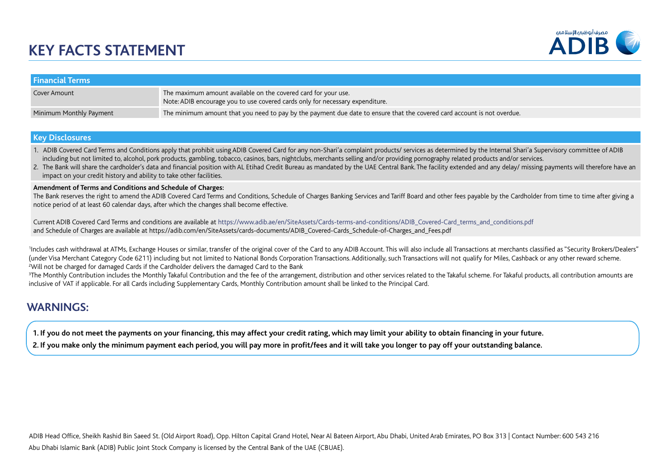

| <b>Financial Terms</b>  |                                                                                                                                                 |
|-------------------------|-------------------------------------------------------------------------------------------------------------------------------------------------|
| Cover Amount            | The maximum amount available on the covered card for your use.<br>Note: ADIB encourage you to use covered cards only for necessary expenditure. |
| Minimum Monthly Payment | The minimum amount that you need to pay by the payment due date to ensure that the covered card account is not overdue.                         |

#### **Key Disclosures**

1. ADIB Covered Card Terms and Conditions apply that prohibit using ADIB Covered Card for any non-Shari'a complaint products/ services as determined by the Internal Shari'a Supervisory committee of ADIB including but not limited to, alcohol, pork products, gambling, tobacco, casinos, bars, nightclubs, merchants selling and/or providing pornography related products and/or services.

2. The Bank will share the cardholder's data and financial position with AL Etihad Credit Bureau as mandated by the UAE Central Bank. The facility extended and any delay/ missing payments will therefore have an impact on your credit history and ability to take other facilities.

#### **Amendment of Terms and Conditions and Schedule of Charges:**

The Bank reserves the right to amend the ADIB Covered Card Terms and Conditions, Schedule of Charges Banking Services and Tariff Board and other fees payable by the Cardholder from time to time after giving a notice period of at least 60 calendar days, after which the changes shall become effective.

Current ADIB Covered Card Terms and conditions are available at https://www.adib.ae/en/SiteAssets/Cards-terms-and-conditions/ADIB\_Covered-Card\_terms\_and\_conditions.pdf and Schedule of Charges are available at https://adib.com/en/SiteAssets/cards-documents/ADIB\_Covered-Cards\_Schedule-of-Charges\_and\_Fees.pdf

Includes cash withdrawal at ATMs, Exchange Houses or similar, transfer of the original cover of the Card to any ADIB Account. This will also include all Transactions at merchants classified as "Security Brokers/Dealers" (under Visa Merchant Category Code 6211) including but not limited to National Bonds Corporation Transactions. Additionally, such Transactions will not qualify for Miles, Cashback or any other reward scheme. <sup>2</sup>Will not be charged for damaged Cards if the Cardholder delivers the damaged Card to the Bank

<sup>3</sup>The Monthly Contribution includes the Monthly Takaful Contribution and the fee of the arrangement, distribution and other services related to the Takaful scheme. For Takaful products, all contribution amounts are inclusive of VAT if applicable. For all Cards including Supplementary Cards, Monthly Contribution amount shall be linked to the Principal Card.

### **WARNINGS:**

**1. If you do not meet the payments on your financing, this may affect your credit rating, which may limit your ability to obtain financing in your future.**

**2. If you make only the minimum payment each period, you will pay more in profit/fees and it will take you longer to pay off your outstanding balance.**